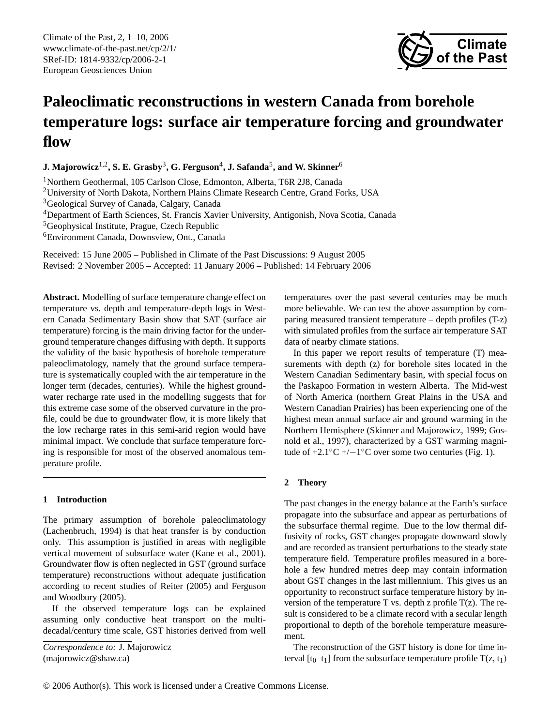Climate of the Past, 2, 1[–10,](#page-0-0) 2006 www.climate-of-the-past.net/cp/2/1/ SRef-ID: 1814-9332/cp/2006-2-1 European Geosciences Union



# **Paleoclimatic reconstructions in western Canada from borehole temperature logs: surface air temperature forcing and groundwater flow**

 ${\bf J.~Majorowicz}^{1,2},{\bf S.~E.~Grasby}^3,{\bf G.~Ferguson}^4,{\bf J.~Safanda}^5,{\bf and~W.~Skinner}^6$ 

<sup>1</sup>Northern Geothermal, 105 Carlson Close, Edmonton, Alberta, T6R 2J8, Canada

<sup>2</sup>University of North Dakota, Northern Plains Climate Research Centre, Grand Forks, USA

<sup>3</sup>Geological Survey of Canada, Calgary, Canada

<sup>4</sup>Department of Earth Sciences, St. Francis Xavier University, Antigonish, Nova Scotia, Canada

<sup>5</sup>Geophysical Institute, Prague, Czech Republic

<sup>6</sup>Environment Canada, Downsview, Ont., Canada

Received: 15 June 2005 – Published in Climate of the Past Discussions: 9 August 2005 Revised: 2 November 2005 – Accepted: 11 January 2006 – Published: 14 February 2006

**Abstract.** Modelling of surface temperature change effect on temperature vs. depth and temperature-depth logs in Western Canada Sedimentary Basin show that SAT (surface air temperature) forcing is the main driving factor for the underground temperature changes diffusing with depth. It supports the validity of the basic hypothesis of borehole temperature paleoclimatology, namely that the ground surface temperature is systematically coupled with the air temperature in the longer term (decades, centuries). While the highest groundwater recharge rate used in the modelling suggests that for this extreme case some of the observed curvature in the profile, could be due to groundwater flow, it is more likely that the low recharge rates in this semi-arid region would have minimal impact. We conclude that surface temperature forcing is responsible for most of the observed anomalous temperature profile.

# **1 Introduction**

The primary assumption of borehole paleoclimatology (Lachenbruch, 1994) is that heat transfer is by conduction only. This assumption is justified in areas with negligible vertical movement of subsurface water (Kane et al., 2001). Groundwater flow is often neglected in GST (ground surface temperature) reconstructions without adequate justification according to recent studies of Reiter (2005) and Ferguson and Woodbury (2005).

If the observed temperature logs can be explained assuming only conductive heat transport on the multidecadal/century time scale, GST histories derived from well

<span id="page-0-0"></span>*Correspondence to:* J. Majorowicz (majorowicz@shaw.ca)

temperatures over the past several centuries may be much more believable. We can test the above assumption by comparing measured transient temperature – depth profiles (T-z) with simulated profiles from the surface air temperature SAT data of nearby climate stations.

In this paper we report results of temperature (T) measurements with depth (z) for borehole sites located in the Western Canadian Sedimentary basin, with special focus on the Paskapoo Formation in western Alberta. The Mid-west of North America (northern Great Plains in the USA and Western Canadian Prairies) has been experiencing one of the highest mean annual surface air and ground warming in the Northern Hemisphere (Skinner and Majorowicz, 1999; Gosnold et al., 1997), characterized by a GST warming magnitude of +2.1 $\degree$ C +/-1 $\degree$ C over some two centuries (Fig. 1).

# **2 Theory**

The past changes in the energy balance at the Earth's surface propagate into the subsurface and appear as perturbations of the subsurface thermal regime. Due to the low thermal diffusivity of rocks, GST changes propagate downward slowly and are recorded as transient perturbations to the steady state temperature field. Temperature profiles measured in a borehole a few hundred metres deep may contain information about GST changes in the last millennium. This gives us an opportunity to reconstruct surface temperature history by inversion of the temperature T vs. depth z profile  $T(z)$ . The result is considered to be a climate record with a secular length proportional to depth of the borehole temperature measurement.

The reconstruction of the GST history is done for time interval  $[t_0-t_1]$  from the subsurface temperature profile  $T(z, t_1)$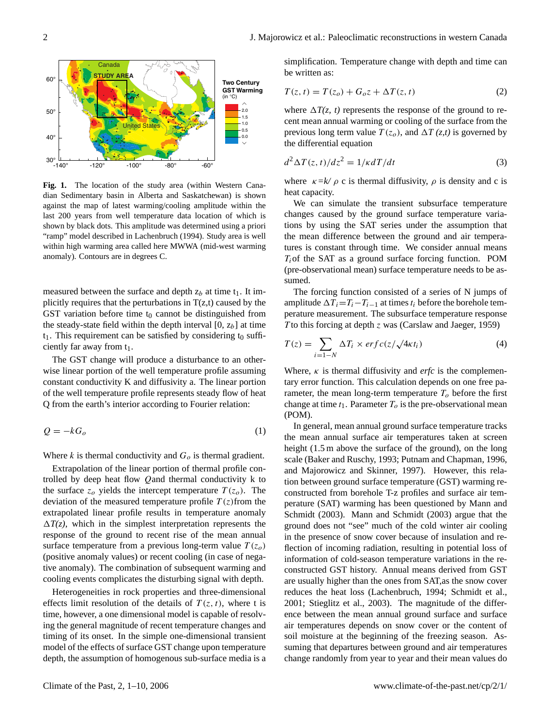

**Fig. 1.** The location of the study area (within Western Canadian Sedimentary basin in Alberta and Saskatchewan) is shown against the map of latest warming/cooling amplitude within the last 200 years from well temperature data location of which is shown by black dots. This amplitude was determined using a priori "ramp" model described in Lachenbruch (1994). Study area is well within high warming area called here MWWA (mid-west warming anomaly). Contours are in degrees C.

measured between the surface and depth  $z_b$  at time  $t_1$ . It implicitly requires that the perturbations in  $T(z,t)$  caused by the GST variation before time  $t_0$  cannot be distinguished from the steady-state field within the depth interval  $[0, z_b]$  at time  $t_1$ . This requirement can be satisfied by considering  $t_0$  sufficiently far away from  $t_1$ .

The GST change will produce a disturbance to an otherwise linear portion of the well temperature profile assuming constant conductivity K and diffusivity a. The linear portion of the well temperature profile represents steady flow of heat Q from the earth's interior according to Fourier relation:

$$
Q = -kG_o \tag{1}
$$

Where k is thermal conductivity and  $G<sub>o</sub>$  is thermal gradient.

Extrapolation of the linear portion of thermal profile controlled by deep heat flow Qand thermal conductivity k to the surface  $z_o$  yields the intercept temperature  $T(z_o)$ . The deviation of the measured temperature profile  $T(z)$  from the extrapolated linear profile results in temperature anomaly  $\Delta T(z)$ , which in the simplest interpretation represents the response of the ground to recent rise of the mean annual surface temperature from a previous long-term value  $T(z_0)$ (positive anomaly values) or recent cooling (in case of negative anomaly). The combination of subsequent warming and cooling events complicates the disturbing signal with depth.

Heterogeneities in rock properties and three-dimensional effects limit resolution of the details of  $T(z, t)$ , where t is time, however, a one dimensional model is capable of resolving the general magnitude of recent temperature changes and timing of its onset. In the simple one-dimensional transient model of the effects of surface GST change upon temperature depth, the assumption of homogenous sub-surface media is a simplification. Temperature change with depth and time can be written as:

$$
T(z, t) = T(zo) + Goz + \Delta T(z, t)
$$
\n(2)

where  $\Delta T(z, t)$  represents the response of the ground to recent mean annual warming or cooling of the surface from the previous long term value  $T(z_o)$ , and  $\Delta T(z,t)$  is governed by the differential equation

$$
d^2\Delta T(z,t)/dz^2 = 1/\kappa dT/dt \tag{3}
$$

where  $\kappa = k' \rho$  c is thermal diffusivity,  $\rho$  is density and c is heat capacity.

We can simulate the transient subsurface temperature changes caused by the ground surface temperature variations by using the SAT series under the assumption that the mean difference between the ground and air temperatures is constant through time. We consider annual means  $T_i$  of the SAT as a ground surface forcing function. POM (pre-observational mean) surface temperature needs to be assumed.

The forcing function consisted of a series of N jumps of amplitude  $\Delta T_i = T_i - T_{i-1}$  at times  $t_i$  before the borehole temperature measurement. The subsurface temperature response T to this forcing at depth  $z$  was (Carslaw and Jaeger, 1959)

$$
T(z) = \sum_{i=1-N} \Delta T_i \times erf\,(z/\sqrt{4\kappa t_i})
$$
\n(4)

Where,  $\kappa$  is thermal diffusivity and *erfc* is the complementary error function. This calculation depends on one free parameter, the mean long-term temperature  $T<sub>o</sub>$  before the first change at time  $t_1$ . Parameter  $T<sub>o</sub>$  is the pre-observational mean (POM).

In general, mean annual ground surface temperature tracks the mean annual surface air temperatures taken at screen height (1.5 m above the surface of the ground), on the long scale (Baker and Ruschy, 1993; Putnam and Chapman, 1996, and Majorowicz and Skinner, 1997). However, this relation between ground surface temperature (GST) warming reconstructed from borehole T-z profiles and surface air temperature (SAT) warming has been questioned by Mann and Schmidt (2003). Mann and Schmidt (2003) argue that the ground does not "see" much of the cold winter air cooling in the presence of snow cover because of insulation and reflection of incoming radiation, resulting in potential loss of information of cold-season temperature variations in the reconstructed GST history. Annual means derived from GST are usually higher than the ones from SAT,as the snow cover reduces the heat loss (Lachenbruch, 1994; Schmidt et al., 2001; Stieglitz et al., 2003). The magnitude of the difference between the mean annual ground surface and surface air temperatures depends on snow cover or the content of soil moisture at the beginning of the freezing season. Assuming that departures between ground and air temperatures change randomly from year to year and their mean values do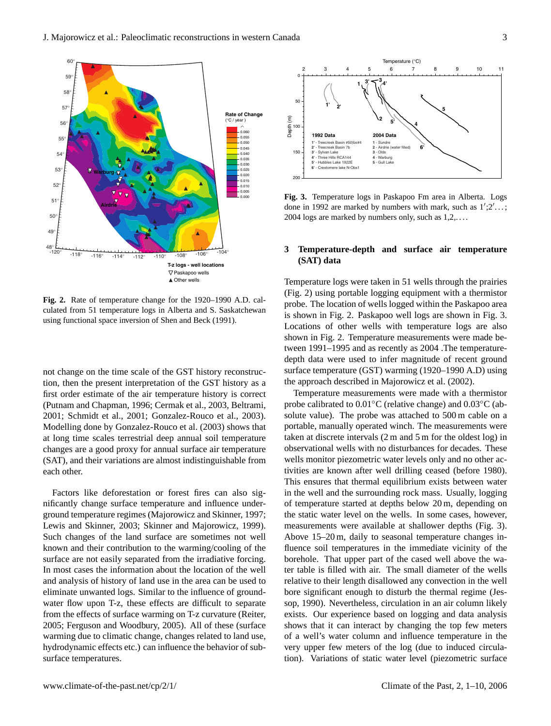

**Fig. 2.** Rate of temperature change for the 1920–1990 A.D. calculated from 51 temperature logs in Alberta and S. Saskatchewan using functional space inversion of Shen and Beck (1991).

not change on the time scale of the GST history reconstruction, then the present interpretation of the GST history as a first order estimate of the air temperature history is correct (Putnam and Chapman, 1996; Cermak et al., 2003, Beltrami, 2001; Schmidt et al., 2001; Gonzalez-Rouco et al., 2003). Modelling done by Gonzalez-Rouco et al. (2003) shows that at long time scales terrestrial deep annual soil temperature changes are a good proxy for annual surface air temperature (SAT), and their variations are almost indistinguishable from each other.

Factors like deforestation or forest fires can also significantly change surface temperature and influence underground temperature regimes (Majorowicz and Skinner, 1997; Lewis and Skinner, 2003; Skinner and Majorowicz, 1999). Such changes of the land surface are sometimes not well known and their contribution to the warming/cooling of the surface are not easily separated from the irradiative forcing. In most cases the information about the location of the well and analysis of history of land use in the area can be used to eliminate unwanted logs. Similar to the influence of groundwater flow upon T-z, these effects are difficult to separate from the effects of surface warming on T-z curvature (Reiter, 2005; Ferguson and Woodbury, 2005). All of these (surface warming due to climatic change, changes related to land use, hydrodynamic effects etc.) can influence the behavior of sub-



**Fig. 3.** Temperature logs in Paskapoo Fm area in Alberta. Logs done in 1992 are marked by numbers with mark, such as  $1$ ';2'...; 2004 logs are marked by numbers only, such as  $1,2,...$ .

# **3 Temperature-depth and surface air temperature (SAT) data**

Temperature logs were taken in 51 wells through the prairies (Fig. 2) using portable logging equipment with a thermistor probe. The location of wells logged within the Paskapoo area is shown in Fig. 2. Paskapoo well logs are shown in Fig. 3. Locations of other wells with temperature logs are also shown in Fig. 2. Temperature measurements were made between 1991–1995 and as recently as 2004 .The temperaturedepth data were used to infer magnitude of recent ground surface temperature (GST) warming (1920–1990 A.D) using the approach described in Majorowicz et al. (2002).

Temperature measurements were made with a thermistor probe calibrated to 0.01◦C (relative change) and 0.03◦C (absolute value). The probe was attached to 500 m cable on a portable, manually operated winch. The measurements were taken at discrete intervals (2 m and 5 m for the oldest log) in observational wells with no disturbances for decades. These wells monitor piezometric water levels only and no other activities are known after well drilling ceased (before 1980). This ensures that thermal equilibrium exists between water in the well and the surrounding rock mass. Usually, logging of temperature started at depths below 20 m, depending on the static water level on the wells. In some cases, however, measurements were available at shallower depths (Fig. 3). Above 15–20 m, daily to seasonal temperature changes influence soil temperatures in the immediate vicinity of the borehole. That upper part of the cased well above the water table is filled with air. The small diameter of the wells relative to their length disallowed any convection in the well bore significant enough to disturb the thermal regime (Jessop, 1990). Nevertheless, circulation in an air column likely exists. Our experience based on logging and data analysis shows that it can interact by changing the top few meters of a well's water column and influence temperature in the very upper few meters of the log (due to induced circulation). Variations of static water level (piezometric surface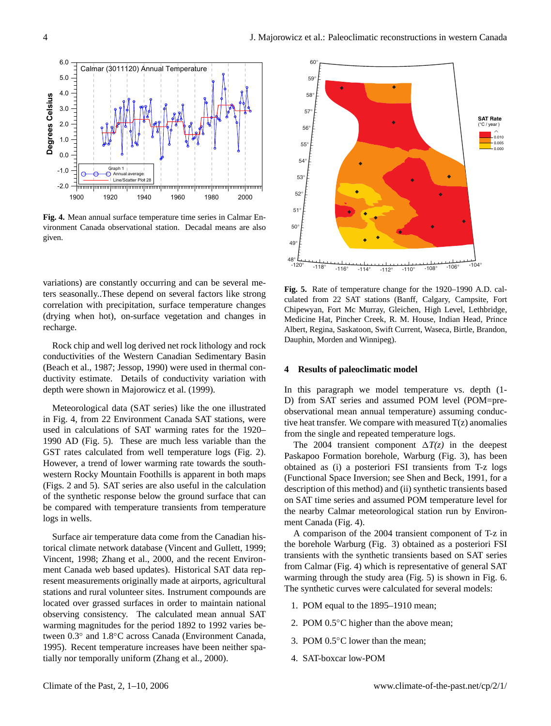

**Fig. 4.** Mean annual surface temperature time series in Calmar Environment Canada observational station. Decadal means are also given.

variations) are constantly occurring and can be several meters seasonally..These depend on several factors like strong correlation with precipitation, surface temperature changes (drying when hot), on-surface vegetation and changes in recharge.

Rock chip and well log derived net rock lithology and rock conductivities of the Western Canadian Sedimentary Basin (Beach et al., 1987; Jessop, 1990) were used in thermal conductivity estimate. Details of conductivity variation with depth were shown in Majorowicz et al. (1999).

Meteorological data (SAT series) like the one illustrated in Fig. 4, from 22 Environment Canada SAT stations, were used in calculations of SAT warming rates for the 1920– 1990 AD (Fig. 5). These are much less variable than the GST rates calculated from well temperature logs (Fig. 2). However, a trend of lower warming rate towards the southwestern Rocky Mountain Foothills is apparent in both maps (Figs. 2 and 5). SAT series are also useful in the calculation of the synthetic response below the ground surface that can be compared with temperature transients from temperature logs in wells.

Surface air temperature data come from the Canadian historical climate network database (Vincent and Gullett, 1999; Vincent, 1998; Zhang et al., 2000, and the recent Environment Canada web based updates). Historical SAT data represent measurements originally made at airports, agricultural stations and rural volunteer sites. Instrument compounds are located over grassed surfaces in order to maintain national observing consistency. The calculated mean annual SAT warming magnitudes for the period 1892 to 1992 varies between 0.3◦ and 1.8◦C across Canada (Environment Canada, 1995). Recent temperature increases have been neither spatially nor temporally uniform (Zhang et al., 2000).



**Fig. 5.** Rate of temperature change for the 1920–1990 A.D. calculated from 22 SAT stations (Banff, Calgary, Campsite, Fort Chipewyan, Fort Mc Murray, Gleichen, High Level, Lethbridge, Medicine Hat, Pincher Creek, R. M. House, Indian Head, Prince Albert, Regina, Saskatoon, Swift Current, Waseca, Birtle, Brandon, Dauphin, Morden and Winnipeg).

#### **4 Results of paleoclimatic model**

In this paragraph we model temperature vs. depth (1- D) from SAT series and assumed POM level (POM=preobservational mean annual temperature) assuming conductive heat transfer. We compare with measured  $T(z)$  anomalies from the single and repeated temperature logs.

The 2004 transient component  $\Delta T(z)$  in the deepest Paskapoo Formation borehole, Warburg (Fig. 3), has been obtained as (i) a posteriori FSI transients from T-z logs (Functional Space Inversion; see Shen and Beck, 1991, for a description of this method) and (ii) synthetic transients based on SAT time series and assumed POM temperature level for the nearby Calmar meteorological station run by Environment Canada (Fig. 4).

A comparison of the 2004 transient component of T-z in the borehole Warburg (Fig. 3) obtained as a posteriori FSI transients with the synthetic transients based on SAT series from Calmar (Fig. 4) which is representative of general SAT warming through the study area (Fig. 5) is shown in Fig. 6. The synthetic curves were calculated for several models:

- 1. POM equal to the 1895–1910 mean;
- 2. POM 0.5<sup>○</sup>C higher than the above mean;
- 3. POM 0.5◦C lower than the mean;
- 4. SAT-boxcar low-POM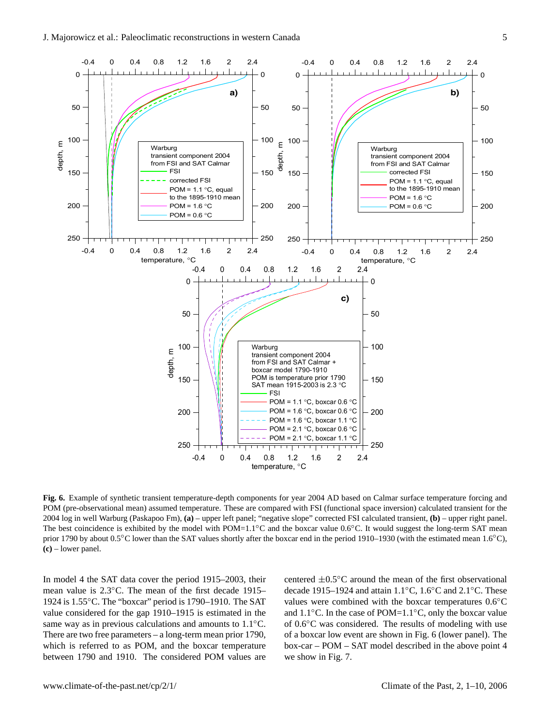

**Fig. 6.** Example of synthetic transient temperature-depth components for year 2004 AD based on Calmar surface temperature forcing and POM (pre-observational mean) assumed temperature. These are compared with FSI (functional space inversion) calculated transient for the 2004 log in well Warburg (Paskapoo Fm), **(a)** – upper left panel; "negative slope" corrected FSI calculated transient, **(b)** – upper right panel. The best coincidence is exhibited by the model with POM=1.1<sup>°</sup>C and the boxcar value 0.6<sup>°</sup>C. It would suggest the long-term SAT mean prior 1790 by about 0.5℃ lower than the SAT values shortly after the boxcar end in the period 1910–1930 (with the estimated mean 1.6℃), **(c)** – lower panel.

In model 4 the SAT data cover the period 1915–2003, their mean value is 2.3◦C. The mean of the first decade 1915– 1924 is 1.55◦C. The "boxcar" period is 1790–1910. The SAT value considered for the gap 1910–1915 is estimated in the same way as in previous calculations and amounts to 1.1<sup>◦</sup>C. There are two free parameters – a long-term mean prior 1790, which is referred to as POM, and the boxcar temperature between 1790 and 1910. The considered POM values are centered ±0.5◦C around the mean of the first observational decade 1915–1924 and attain 1.1◦C, 1.6◦C and 2.1◦C. These values were combined with the boxcar temperatures  $0.6 °C$ and  $1.1\degree$ C. In the case of POM= $1.1\degree$ C, only the boxcar value of 0.6◦C was considered. The results of modeling with use of a boxcar low event are shown in Fig. 6 (lower panel). The box-car – POM – SAT model described in the above point 4 we show in Fig. 7.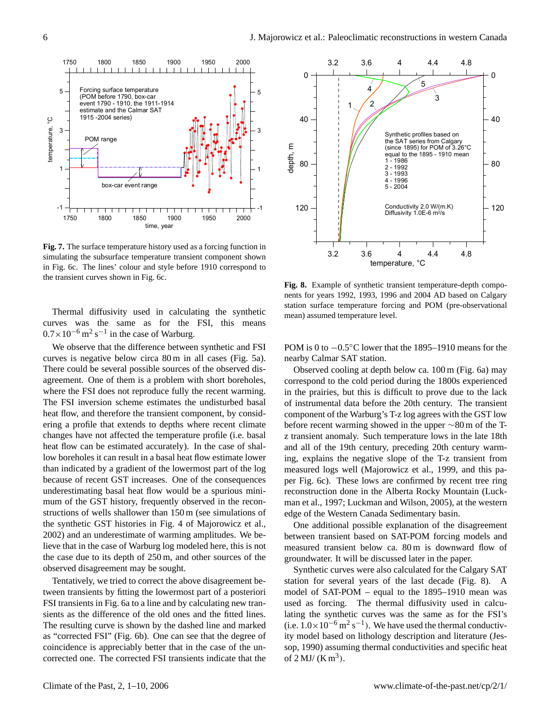

**Fig. 7.** The surface temperature history used as a forcing function in simulating the subsurface temperature transient component shown in Fig. 6c. The lines' colour and style before 1910 correspond to the transient curves shown in Fig. 6c.

Thermal diffusivity used in calculating the synthetic curves was the same as for the FSI, this means  $0.7 \times 10^{-6}$  m<sup>2</sup> s<sup>-1</sup> in the case of Warburg.

We observe that the difference between synthetic and FSI curves is negative below circa 80 m in all cases (Fig. 5a). There could be several possible sources of the observed disagreement. One of them is a problem with short boreholes, where the FSI does not reproduce fully the recent warming. The FSI inversion scheme estimates the undisturbed basal heat flow, and therefore the transient component, by considering a profile that extends to depths where recent climate changes have not affected the temperature profile (i.e. basal heat flow can be estimated accurately). In the case of shallow boreholes it can result in a basal heat flow estimate lower than indicated by a gradient of the lowermost part of the log because of recent GST increases. One of the consequences underestimating basal heat flow would be a spurious minimum of the GST history, frequently observed in the reconstructions of wells shallower than 150 m (see simulations of the synthetic GST histories in Fig. 4 of Majorowicz et al., 2002) and an underestimate of warming amplitudes. We believe that in the case of Warburg log modeled here, this is not the case due to its depth of 250 m, and other sources of the observed disagreement may be sought.

Tentatively, we tried to correct the above disagreement between transients by fitting the lowermost part of a posteriori FSI transients in Fig. 6a to a line and by calculating new transients as the difference of the old ones and the fitted lines. The resulting curve is shown by the dashed line and marked as "corrected FSI" (Fig. 6b). One can see that the degree of coincidence is appreciably better that in the case of the uncorrected one. The corrected FSI transients indicate that the



**Fig. 8.** Example of synthetic transient temperature-depth components for years 1992, 1993, 1996 and 2004 AD based on Calgary station surface temperature forcing and POM (pre-observational mean) assumed temperature level.

POM is 0 to −0.5°C lower that the 1895–1910 means for the nearby Calmar SAT station.

Observed cooling at depth below ca. 100 m (Fig. 6a) may correspond to the cold period during the 1800s experienced in the prairies, but this is difficult to prove due to the lack of instrumental data before the 20th century. The transient component of the Warburg's T-z log agrees with the GST low before recent warming showed in the upper ∼80 m of the Tz transient anomaly. Such temperature lows in the late 18th and all of the 19th century, preceding 20th century warming, explains the negative slope of the T-z transient from measured logs well (Majorowicz et al., 1999, and this paper Fig. 6c). These lows are confirmed by recent tree ring reconstruction done in the Alberta Rocky Mountain (Luckman et al., 1997; Luckman and Wilson, 2005), at the western edge of the Western Canada Sedimentary basin.

One additional possible explanation of the disagreement between transient based on SAT-POM forcing models and measured transient below ca. 80 m is downward flow of groundwater. It will be discussed later in the paper.

Synthetic curves were also calculated for the Calgary SAT station for several years of the last decade (Fig. 8). A model of SAT-POM – equal to the 1895–1910 mean was used as forcing. The thermal diffusivity used in calculating the synthetic curves was the same as for the FSI's (i.e.  $1.0 \times 10^{-6}$  m<sup>2</sup> s<sup>-1</sup>). We have used the thermal conductivity model based on lithology description and literature (Jessop, 1990) assuming thermal conductivities and specific heat of  $2$  MJ/ (K m<sup>3</sup>).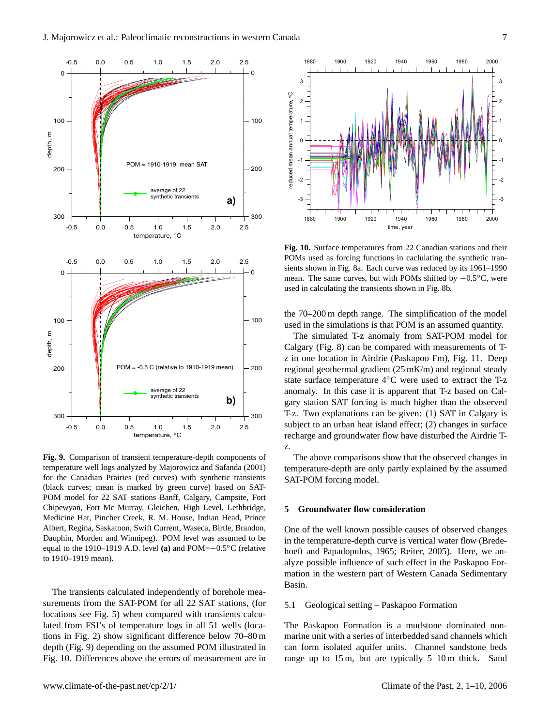

**Fig. 9.** Comparison of transient temperature-depth components of temperature well logs analyzed by Majorowicz and Safanda (2001) for the Canadian Prairies (red curves) with synthetic transients (black curves; mean is marked by green curve) based on SAT-POM model for 22 SAT stations Banff, Calgary, Campsite, Fort Chipewyan, Fort Mc Murray, Gleichen, High Level, Lethbridge, Medicine Hat, Pincher Creek, R. M. House, Indian Head, Prince Albert, Regina, Saskatoon, Swift Current, Waseca, Birtle, Brandon, Dauphin, Morden and Winnipeg). POM level was assumed to be equal to the 1910–1919 A.D. level **(a)** and POM=−0.5◦C (relative to 1910–1919 mean).

The transients calculated independently of borehole measurements from the SAT-POM for all 22 SAT stations, (for locations see Fig. 5) when compared with transients calculated from FSI's of temperature logs in all 51 wells (locations in Fig. 2) show significant difference below 70–80 m depth (Fig. 9) depending on the assumed POM illustrated in Fig. 10. Differences above the errors of measurement are in



**Fig. 10.** Surface temperatures from 22 Canadian stations and their POMs used as forcing functions in caclulating the synthetic transients shown in Fig. 8a. Each curve was reduced by its 1961–1990 mean. The same curves, but with POMs shifted by −0.5◦C, were used in calculating the transients shown in Fig. 8b.

the 70–200 m depth range. The simplification of the model used in the simulations is that POM is an assumed quantity.

The simulated T-z anomaly from SAT-POM model for Calgary (Fig. 8) can be compared with measurements of Tz in one location in Airdrie (Paskapoo Fm), Fig. 11. Deep regional geothermal gradient (25 mK/m) and regional steady state surface temperature 4◦C were used to extract the T-z anomaly. In this case it is apparent that T-z based on Calgary station SAT forcing is much higher than the observed T-z. Two explanations can be given: (1) SAT in Calgary is subject to an urban heat island effect; (2) changes in surface recharge and groundwater flow have disturbed the Airdrie Tz.

The above comparisons show that the observed changes in temperature-depth are only partly explained by the assumed SAT-POM forcing model.

## **5 Groundwater flow consideration**

One of the well known possible causes of observed changes in the temperature-depth curve is vertical water flow (Bredehoeft and Papadopulos, 1965; Reiter, 2005). Here, we analyze possible influence of such effect in the Paskapoo Formation in the western part of Western Canada Sedimentary Basin.

#### 5.1 Geological setting – Paskapoo Formation

The Paskapoo Formation is a mudstone dominated nonmarine unit with a series of interbedded sand channels which can form isolated aquifer units. Channel sandstone beds range up to 15 m, but are typically 5–10 m thick. Sand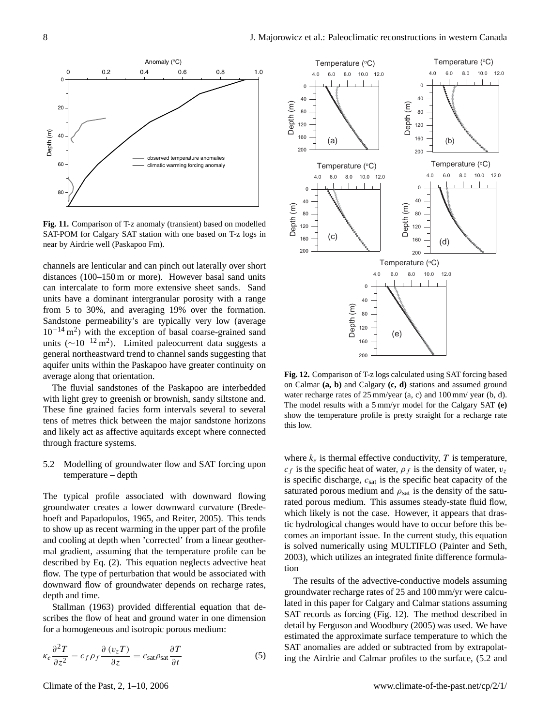

**Fig. 11.** Comparison of T-z anomaly (transient) based on modelled SAT-POM for Calgary SAT station with one based on T-z logs in near by Airdrie well (Paskapoo Fm).

channels are lenticular and can pinch out laterally over short distances (100–150 m or more). However basal sand units can intercalate to form more extensive sheet sands. Sand units have a dominant intergranular porosity with a range from 5 to 30%, and averaging 19% over the formation. Sandstone permeability's are typically very low (average 10−<sup>14</sup> m<sup>2</sup> ) with the exception of basal coarse-grained sand units ( $\sim$ 10<sup>-12</sup> m<sup>2</sup>). Limited paleocurrent data suggests a general northeastward trend to channel sands suggesting that aquifer units within the Paskapoo have greater continuity on average along that orientation.

The fluvial sandstones of the Paskapoo are interbedded with light grey to greenish or brownish, sandy siltstone and. These fine grained facies form intervals several to several tens of metres thick between the major sandstone horizons and likely act as affective aquitards except where connected through fracture systems.

# 5.2 Modelling of groundwater flow and SAT forcing upon temperature – depth

The typical profile associated with downward flowing groundwater creates a lower downward curvature (Bredehoeft and Papadopulos, 1965, and Reiter, 2005). This tends to show up as recent warming in the upper part of the profile and cooling at depth when 'corrected' from a linear geothermal gradient, assuming that the temperature profile can be described by Eq. (2). This equation neglects advective heat flow. The type of perturbation that would be associated with downward flow of groundwater depends on recharge rates, depth and time.

Stallman (1963) provided differential equation that describes the flow of heat and ground water in one dimension for a homogeneous and isotropic porous medium:

$$
\kappa_e \frac{\partial^2 T}{\partial z^2} - c_f \rho_f \frac{\partial (v_z T)}{\partial z} = c_{\text{sat}} \rho_{\text{sat}} \frac{\partial T}{\partial t}
$$
 (5)



**Fig. 12.** Comparison of T-z logs calculated using SAT forcing based on Calmar **(a, b)** and Calgary **(c, d)** stations and assumed ground water recharge rates of 25 mm/year (a, c) and 100 mm/ year (b, d). The model results with a 5 mm/yr model for the Calgary SAT **(e)** show the temperature profile is pretty straight for a recharge rate this low.

where  $k_e$  is thermal effective conductivity, T is temperature,  $c_f$  is the specific heat of water,  $\rho_f$  is the density of water,  $v_z$ is specific discharge,  $c_{sat}$  is the specific heat capacity of the saturated porous medium and  $\rho_{\text{sat}}$  is the density of the saturated porous medium. This assumes steady-state fluid flow, which likely is not the case. However, it appears that drastic hydrological changes would have to occur before this becomes an important issue. In the current study, this equation is solved numerically using MULTIFLO (Painter and Seth, 2003), which utilizes an integrated finite difference formulation

The results of the advective-conductive models assuming groundwater recharge rates of 25 and 100 mm/yr were calculated in this paper for Calgary and Calmar stations assuming SAT records as forcing (Fig. 12). The method described in detail by Ferguson and Woodbury (2005) was used. We have estimated the approximate surface temperature to which the SAT anomalies are added or subtracted from by extrapolating the Airdrie and Calmar profiles to the surface, (5.2 and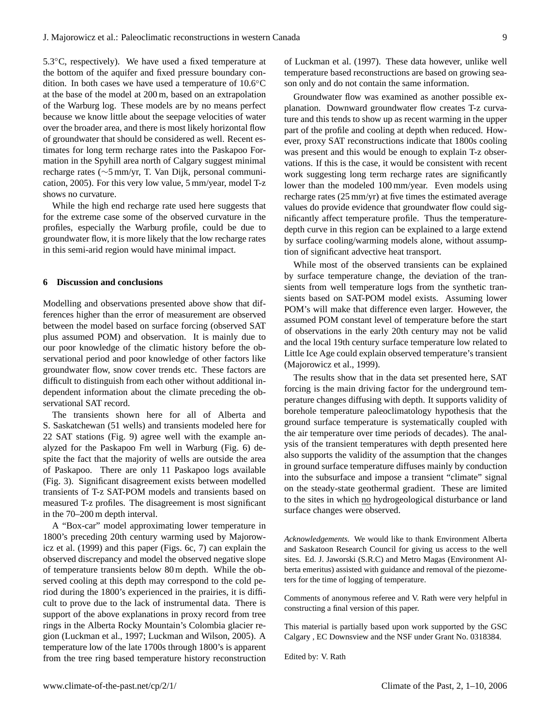5.3◦C, respectively). We have used a fixed temperature at the bottom of the aquifer and fixed pressure boundary condition. In both cases we have used a temperature of 10.6◦C at the base of the model at 200 m, based on an extrapolation of the Warburg log. These models are by no means perfect because we know little about the seepage velocities of water over the broader area, and there is most likely horizontal flow of groundwater that should be considered as well. Recent estimates for long term recharge rates into the Paskapoo Formation in the Spyhill area north of Calgary suggest minimal recharge rates (∼5 mm/yr, T. Van Dijk, personal communication, 2005). For this very low value, 5 mm/year, model T-z shows no curvature.

While the high end recharge rate used here suggests that for the extreme case some of the observed curvature in the profiles, especially the Warburg profile, could be due to groundwater flow, it is more likely that the low recharge rates in this semi-arid region would have minimal impact.

#### **6 Discussion and conclusions**

Modelling and observations presented above show that differences higher than the error of measurement are observed between the model based on surface forcing (observed SAT plus assumed POM) and observation. It is mainly due to our poor knowledge of the climatic history before the observational period and poor knowledge of other factors like groundwater flow, snow cover trends etc. These factors are difficult to distinguish from each other without additional independent information about the climate preceding the observational SAT record.

The transients shown here for all of Alberta and S. Saskatchewan (51 wells) and transients modeled here for 22 SAT stations (Fig. 9) agree well with the example analyzed for the Paskapoo Fm well in Warburg (Fig. 6) despite the fact that the majority of wells are outside the area of Paskapoo. There are only 11 Paskapoo logs available (Fig. 3). Significant disagreement exists between modelled transients of T-z SAT-POM models and transients based on measured T-z profiles. The disagreement is most significant in the 70–200 m depth interval.

A "Box-car" model approximating lower temperature in 1800's preceding 20th century warming used by Majorowicz et al. (1999) and this paper (Figs. 6c, 7) can explain the observed discrepancy and model the observed negative slope of temperature transients below 80 m depth. While the observed cooling at this depth may correspond to the cold period during the 1800's experienced in the prairies, it is difficult to prove due to the lack of instrumental data. There is support of the above explanations in proxy record from tree rings in the Alberta Rocky Mountain's Colombia glacier region (Luckman et al., 1997; Luckman and Wilson, 2005). A temperature low of the late 1700s through 1800's is apparent from the tree ring based temperature history reconstruction of Luckman et al. (1997). These data however, unlike well temperature based reconstructions are based on growing season only and do not contain the same information.

Groundwater flow was examined as another possible explanation. Downward groundwater flow creates T-z curvature and this tends to show up as recent warming in the upper part of the profile and cooling at depth when reduced. However, proxy SAT reconstructions indicate that 1800s cooling was present and this would be enough to explain T-z observations. If this is the case, it would be consistent with recent work suggesting long term recharge rates are significantly lower than the modeled 100 mm/year. Even models using recharge rates (25 mm/yr) at five times the estimated average values do provide evidence that groundwater flow could significantly affect temperature profile. Thus the temperaturedepth curve in this region can be explained to a large extend by surface cooling/warming models alone, without assumption of significant advective heat transport.

While most of the observed transients can be explained by surface temperature change, the deviation of the transients from well temperature logs from the synthetic transients based on SAT-POM model exists. Assuming lower POM's will make that difference even larger. However, the assumed POM constant level of temperature before the start of observations in the early 20th century may not be valid and the local 19th century surface temperature low related to Little Ice Age could explain observed temperature's transient (Majorowicz et al., 1999).

The results show that in the data set presented here, SAT forcing is the main driving factor for the underground temperature changes diffusing with depth. It supports validity of borehole temperature paleoclimatology hypothesis that the ground surface temperature is systematically coupled with the air temperature over time periods of decades). The analysis of the transient temperatures with depth presented here also supports the validity of the assumption that the changes in ground surface temperature diffuses mainly by conduction into the subsurface and impose a transient "climate" signal on the steady-state geothermal gradient. These are limited to the sites in which no hydrogeological disturbance or land surface changes were observed.

*Acknowledgements.* We would like to thank Environment Alberta and Saskatoon Research Council for giving us access to the well sites. Ed. J. Jaworski (S.R.C) and Metro Magas (Environment Alberta emeritus) assisted with guidance and removal of the piezometers for the time of logging of temperature.

Comments of anonymous referee and V. Rath were very helpful in constructing a final version of this paper.

This material is partially based upon work supported by the GSC Calgary , EC Downsview and the NSF under Grant No. 0318384.

Edited by: V. Rath